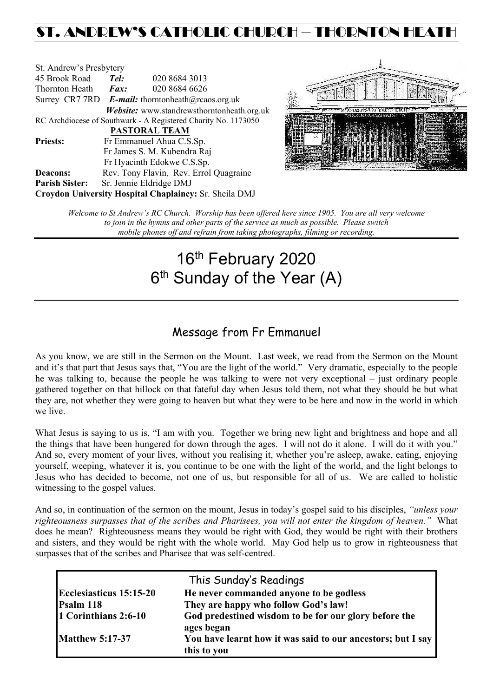# ST. ANDREW'S CATHOLIC CHURCH – THORNTON HEA

| St. Andrew's Presbytery                                        |                                                          |                                            |  |  |  |
|----------------------------------------------------------------|----------------------------------------------------------|--------------------------------------------|--|--|--|
| 45 Brook Road                                                  | Tel:                                                     | 020 8684 3013                              |  |  |  |
| Thornton Heath                                                 | $\boldsymbol{Fax:}$                                      | 020 8684 6626                              |  |  |  |
|                                                                | Surrey CR7 7RD <b>E-mail:</b> thorntonheath@rcaos.org.uk |                                            |  |  |  |
|                                                                |                                                          | Website: www.standrewsthorntonheath.org.uk |  |  |  |
| RC Archdiocese of Southwark - A Registered Charity No. 1173050 |                                                          |                                            |  |  |  |
| <b>PASTORAL TEAM</b>                                           |                                                          |                                            |  |  |  |
| <b>Priests:</b>                                                |                                                          | Fr Emmanuel Ahua C.S.Sp.                   |  |  |  |
| Fr James S. M. Kubendra Raj                                    |                                                          |                                            |  |  |  |
|                                                                |                                                          | Fr Hyacinth Edokwe C.S.Sp.                 |  |  |  |
| <b>Deacons:</b>                                                |                                                          | Rev. Tony Flavin, Rev. Errol Quagraine     |  |  |  |
| <b>Parish Sister:</b>                                          | Sr. Jennie Eldridge DMJ                                  |                                            |  |  |  |
| Croydon University Hospital Chaplaincy: Sr. Sheila DMJ         |                                                          |                                            |  |  |  |



*Welcome to St Andrew's RC Church. Worship has been offered here since 1905. You are all very welcome to join in the hymns and other parts of the service as much as possible. Please switch mobile phones off and refrain from taking photographs, filming or recording.*

# 16<sup>th</sup> February 2020 6<sup>th</sup> Sunday of the Year (A)

# Message from Fr Emmanuel

As you know, we are still in the Sermon on the Mount. Last week, we read from the Sermon on the Mount and it's that part that Jesus says that, "You are the light of the world." Very dramatic, especially to the people he was talking to, because the people he was talking to were not very exceptional – just ordinary people gathered together on that hillock on that fateful day when Jesus told them, not what they should be but what they are, not whether they were going to heaven but what they were to be here and now in the world in which we live.

What Jesus is saying to us is, "I am with you. Together we bring new light and brightness and hope and all the things that have been hungered for down through the ages. I will not do it alone. I will do it with you." And so, every moment of your lives, without you realising it, whether you're asleep, awake, eating, enjoying yourself, weeping, whatever it is, you continue to be one with the light of the world, and the light belongs to Jesus who has decided to become, not one of us, but responsible for all of us. We are called to holistic witnessing to the gospel values.

And so, in continuation of the sermon on the mount, Jesus in today's gospel said to his disciples, *"unless your righteousness surpasses that of the scribes and Pharisees, you will not enter the kingdom of heaven."* What does he mean? Righteousness means they would be right with God, they would be right with their brothers and sisters, and they would be right with the whole world. May God help us to grow in righteousness that surpasses that of the scribes and Pharisee that was self-centred.

|                         | This Sunday's Readings                                                     |  |  |
|-------------------------|----------------------------------------------------------------------------|--|--|
| Ecclesiasticus 15:15-20 | He never commanded anyone to be godless                                    |  |  |
| Psalm 118               | They are happy who follow God's law!                                       |  |  |
| 1 Corinthians 2:6-10    | God predestined wisdom to be for our glory before the<br>ages began        |  |  |
| <b>Matthew 5:17-37</b>  | You have learnt how it was said to our ancestors; but I say<br>this to you |  |  |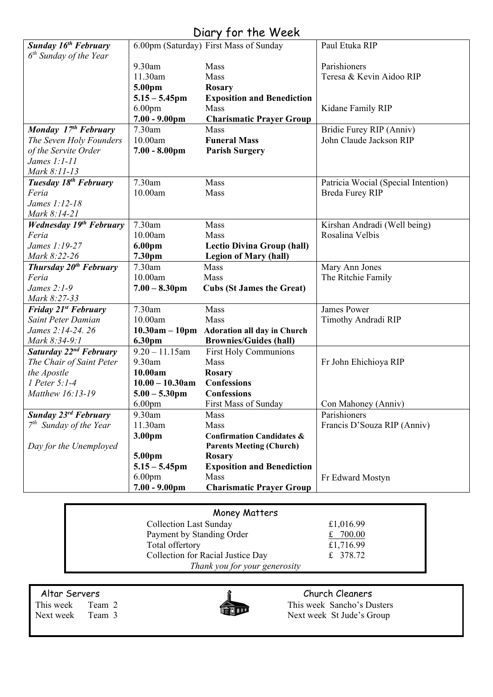# Diary for the Week

| <b>Sunday 16th February</b>        |                    | 6.00pm (Saturday) First Mass of Sunday     | Paul Etuka RIP                      |
|------------------------------------|--------------------|--------------------------------------------|-------------------------------------|
| $6th$ Sunday of the Year           |                    |                                            |                                     |
|                                    | 9.30am             | Mass                                       | Parishioners                        |
|                                    | 11.30am            | Mass                                       | Teresa & Kevin Aidoo RIP            |
|                                    | 5.00pm             | <b>Rosary</b>                              |                                     |
|                                    | $5.15 - 5.45$ pm   | <b>Exposition and Benediction</b>          |                                     |
|                                    | 6.00 <sub>pm</sub> | Mass                                       | Kidane Family RIP                   |
|                                    | $7.00 - 9.00$ pm   | <b>Charismatic Prayer Group</b>            |                                     |
| Monday 17th February               | 7.30am             | Mass                                       | Bridie Furey RIP (Anniv)            |
| The Seven Holy Founders            | 10.00am            | <b>Funeral Mass</b>                        | John Claude Jackson RIP             |
| of the Servite Order               | $7.00 - 8.00$ pm   | <b>Parish Surgery</b>                      |                                     |
| James $1:1-11$                     |                    |                                            |                                     |
| Mark 8:11-13                       |                    |                                            |                                     |
| Tuesday 18 <sup>th</sup> February  | 7.30am             | Mass                                       | Patricia Wocial (Special Intention) |
| Feria                              | 10.00am            | Mass                                       | <b>Breda Furey RIP</b>              |
| James 1:12-18                      |                    |                                            |                                     |
| Mark 8:14-21                       |                    |                                            |                                     |
| <b>Wednesday 19th February</b>     | 7.30am             | Mass                                       | Kirshan Andradi (Well being)        |
| Feria                              | 10.00am            | Mass                                       | Rosalina Velbis                     |
| James 1:19-27                      | 6.00pm             | <b>Lectio Divina Group (hall)</b>          |                                     |
| Mark 8:22-26                       | 7.30pm             | <b>Legion of Mary (hall)</b>               |                                     |
| Thursday 20 <sup>th</sup> February | 7.30am             | Mass                                       | Mary Ann Jones                      |
| Feria                              | 10.00am            | Mass                                       | The Ritchie Family                  |
| James 2:1-9                        | $7.00 - 8.30$ pm   | <b>Cubs (St James the Great)</b>           |                                     |
| Mark 8:27-33                       |                    |                                            |                                     |
| <b>Friday 21st February</b>        | 7.30am             | Mass                                       | <b>James Power</b>                  |
| Saint Peter Damian                 | 10.00am            | Mass                                       | Timothy Andradi RIP                 |
| James 2:14-24. 26                  |                    | 10.30am - 10pm Adoration all day in Church |                                     |
| Mark 8:34-9:1                      | 6.30pm             | <b>Brownies/Guides (hall)</b>              |                                     |
| Saturday 22 <sup>nd</sup> February | $9.20 - 11.15$ am  | <b>First Holy Communions</b>               |                                     |
| The Chair of Saint Peter           | 9.30am             | <b>Mass</b>                                | Fr John Ehichioya RIP               |
| the Apostle                        | 10.00am            | <b>Rosary</b>                              |                                     |
| $1$ Peter 5:1-4                    | $10.00 - 10.30$ am | <b>Confessions</b>                         |                                     |
| Matthew 16:13-19                   | $5.00 - 5.30$ pm   | <b>Confessions</b>                         |                                     |
|                                    | 6.00 <sub>pm</sub> | First Mass of Sunday                       | Con Mahoney (Anniv)                 |
| Sunday 23 <sup>rd</sup> February   | 9.30am             | Mass                                       | Parishioners                        |
| $7th$ Sunday of the Year           | 11.30am            | Mass                                       | Francis D'Souza RIP (Anniv)         |
|                                    | 3.00pm             | <b>Confirmation Candidates &amp;</b>       |                                     |
| Day for the Unemployed             |                    | <b>Parents Meeting (Church)</b>            |                                     |
|                                    | 5.00pm             | Rosary                                     |                                     |
|                                    | $5.15 - 5.45$ pm   | <b>Exposition and Benediction</b>          |                                     |
|                                    | 6.00 <sub>pm</sub> | Mass                                       | Fr Edward Mostyn                    |
|                                    | $7.00 - 9.00$ pm   | <b>Charismatic Prayer Group</b>            |                                     |

| Money Matters                     |            |  |  |  |
|-----------------------------------|------------|--|--|--|
| <b>Collection Last Sunday</b>     | £1,016.99  |  |  |  |
| Payment by Standing Order         | £ $700.00$ |  |  |  |
| Total offertory                   | £1,716.99  |  |  |  |
| Collection for Racial Justice Day | £ 378.72   |  |  |  |
| Thank you for your generosity     |            |  |  |  |



Altar Servers Church Cleaners<br>
This week Team 2 This week Sancho's Du This week Team 2 This week Sancho's Dusters<br>
Next week Team 3 Next week St Jude's Group Next week St Jude's Group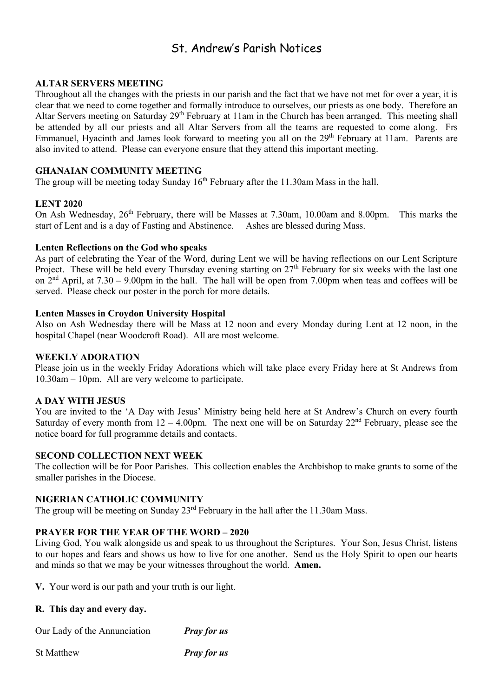# St. Andrew's Parish Notices

### **ALTAR SERVERS MEETING**

Throughout all the changes with the priests in our parish and the fact that we have not met for over a year, it is clear that we need to come together and formally introduce to ourselves, our priests as one body. Therefore an Altar Servers meeting on Saturday 29<sup>th</sup> February at 11am in the Church has been arranged. This meeting shall be attended by all our priests and all Altar Servers from all the teams are requested to come along. Frs Emmanuel, Hyacinth and James look forward to meeting you all on the 29<sup>th</sup> February at 11am. Parents are also invited to attend. Please can everyone ensure that they attend this important meeting.

#### **GHANAIAN COMMUNITY MEETING**

The group will be meeting today Sunday  $16<sup>th</sup>$  February after the 11.30am Mass in the hall.

#### **LENT 2020**

On Ash Wednesday, 26<sup>th</sup> February, there will be Masses at 7.30am, 10.00am and 8.00pm. This marks the start of Lent and is a day of Fasting and Abstinence. Ashes are blessed during Mass.

#### **Lenten Reflections on the God who speaks**

As part of celebrating the Year of the Word, during Lent we will be having reflections on our Lent Scripture Project. These will be held every Thursday evening starting on 27<sup>th</sup> February for six weeks with the last one on  $2<sup>nd</sup>$  April, at  $7.30 - 9.00$ pm in the hall. The hall will be open from 7.00pm when teas and coffees will be served. Please check our poster in the porch for more details.

#### **Lenten Masses in Croydon University Hospital**

Also on Ash Wednesday there will be Mass at 12 noon and every Monday during Lent at 12 noon, in the hospital Chapel (near Woodcroft Road). All are most welcome.

#### **WEEKLY ADORATION**

Please join us in the weekly Friday Adorations which will take place every Friday here at St Andrews from 10.30am – 10pm. All are very welcome to participate.

#### **A DAY WITH JESUS**

You are invited to the 'A Day with Jesus' Ministry being held here at St Andrew's Church on every fourth Saturday of every month from  $12 - 4.00$ pm. The next one will be on Saturday  $22<sup>nd</sup>$  February, please see the notice board for full programme details and contacts.

#### **SECOND COLLECTION NEXT WEEK**

The collection will be for Poor Parishes. This collection enables the Archbishop to make grants to some of the smaller parishes in the Diocese.

# **NIGERIAN CATHOLIC COMMUNITY**

The group will be meeting on Sunday 23<sup>rd</sup> February in the hall after the 11.30am Mass.

### **PRAYER FOR THE YEAR OF THE WORD – 2020**

Living God, You walk alongside us and speak to us throughout the Scriptures. Your Son, Jesus Christ, listens to our hopes and fears and shows us how to live for one another. Send us the Holy Spirit to open our hearts and minds so that we may be your witnesses throughout the world. **Amen.**

**V.** Your word is our path and your truth is our light.

### **R. This day and every day.**

Our Lady of the Annunciation *Pray for us*

St Matthew *Pray for us*